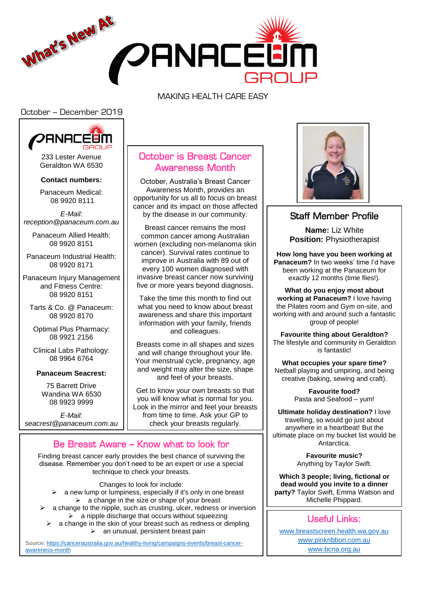

### MAKING HEALTH CARE EASY

### October – December 2019



233 Lester Avenue Geraldton WA 6530

**Contact numbers:**

Panaceum Medical: 08 9920 8111

*E-Mail: reception@panaceum.com.au*

Panaceum Allied Health: 08 9920 8151

Panaceum Industrial Health: 08 9920 8171

Panaceum Injury Management and Fitness Centre: 08 9920 8151

Tarts & Co. @ Panaceum: 08 9920 8170

Optimal Plus Pharmacy: 08 9921 2156

Clinical Labs Pathology: 08 9964 6764

#### **Panaceum Seacrest:**

75 Barrett Drive Wandina WA 6530 08 9923 9999

*E-Mail: seacrest@panaceum.com.au*

## October is Breast Cancer Awareness Month

October, Australia's Breast Cancer Awareness Month, provides an opportunity for us all to focus on breast cancer and its impact on those affected by the disease in our community.

Breast cancer remains the most common cancer among Australian women (excluding non-melanoma skin cancer). Survival rates continue to improve in Australia with 89 out of every 100 women diagnosed with invasive breast cancer now surviving five or more years beyond diagnosis.

Take the time this month to find out what you need to know about breast awareness and share this important information with your family, friends and colleagues.

Breasts come in all shapes and sizes and will change throughout your life. Your menstrual cycle, pregnancy, age and weight may alter the size, shape and feel of your breasts.

Get to know your own breasts so that you will know what is normal for you. Look in the mirror and feel your breasts from time to time. Ask your GP to check your breasts regularly.

# Be Breast Aware – Know what to look for

Finding breast cancer early provides the best chance of surviving the disease. Remember you don't need to be an expert or use a special technique to check your breasts.

Changes to look for include:

- $\triangleright$  a new lump or lumpiness, especially if it's only in one breast  $\triangleright$  a change in the size or shape of your breast
- a change to the nipple, such as crusting, ulcer, redness or inversion  $\geq$  a nipple discharge that occurs without squeezing
	- a change in the skin of your breast such as redness or dimpling  $\triangleright$  an unusual, persistent breast pain

Source: [https://canceraustralia.gov.au/healthy-living/campaigns-events/breast-cancer](https://canceraustralia.gov.au/healthy-living/campaigns-events/breast-cancer-awareness-month)[awareness-month](https://canceraustralia.gov.au/healthy-living/campaigns-events/breast-cancer-awareness-month)



## Staff Member Profile

**Name:** Liz White **Position:** Physiotherapist

**How long have you been working at Panaceum?** In two weeks' time I'd have been working at the Panaceum for exactly 12 months (time flies!).

**What do you enjoy most about working at Panaceum?** I love having the Pilates room and Gym on-site, and working with and around such a fantastic group of people!

**Favourite thing about Geraldton?** The lifestyle and community in Geraldton is fantastic!

**What occupies your spare time?** Netball playing and umpiring, and being creative (baking, sewing and craft).

> **Favourite food?** Pasta and Seafood – yum!

**Ultimate holiday destination?** I love travelling, so would go just about anywhere in a heartbeat! But the ultimate place on my bucket list would be Antarctica.

> **Favourite music?** Anything by Taylor Swift.

**Which 3 people; living, fictional or dead would you invite to a dinner party?** Taylor Swift, Emma Watson and Michelle Phippard.

## Useful Links:

[www.breastscreen.health.wa.gov.au](http://www.breastscreen.health.wa.gov.au/) [www.pinkribbon.com.au](http://www.pinkribbon.com.au/) [www.bcna.org.au](http://www.bcna.org.au/)

٦